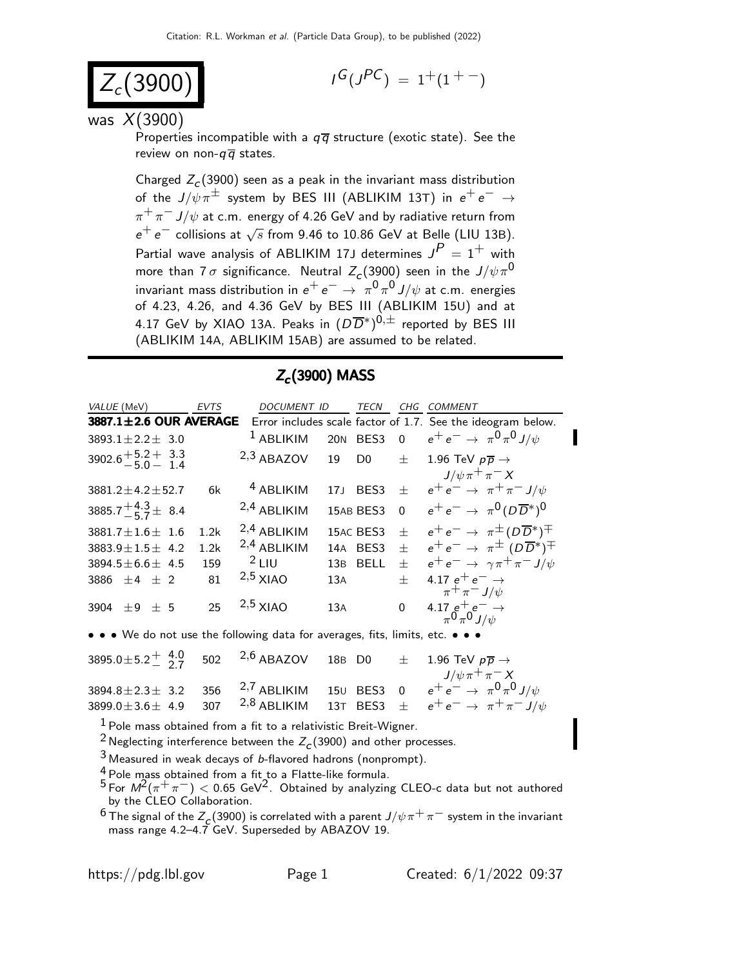$$
Z_c(3900)
$$

$$
I^G(J^{PC})\ =\ 1^+(1^{+\ -})
$$

was  $X(3900)$ 

Properties incompatible with a  $q\bar{q}$  structure (exotic state). See the review on non- $q\overline{q}$  states.

Charged  $Z_c(3900)$  seen as a peak in the invariant mass distribution of the  $J/\psi \pi^{\pm}$  system by BES III (ABLIKIM 13T) in  $e^+e^- \rightarrow$  $\pi^+\pi^-$  J/ $\psi$  at c.m. energy of 4.26 GeV and by radiative return from  $e^+e^-$  collisions at  $\sqrt{s}$  from 9.46 to 10.86 GeV at Belle (LIU 13B). Partial wave analysis of ABLIKIM 17J determines  $J^P = 1^+$  with more than 7  $\sigma$  significance. Neutral  $Z_c(3900)$  seen in the  $J/\psi \, \pi^0$ invariant mass distribution in  $e^+e^- \rightarrow \pi^0\pi^0 J/\psi$  at c.m. energies of 4.23, 4.26, and 4.36 GeV by BES III (ABLIKIM 15U) and at 4.17 GeV by XIAO 13A. Peaks in  $(D\overline{D}^*)^{0,\pm}$  reported by BES III (ABLIKIM 14A, ABLIKIM 15AB) are assumed to be related.

| $Z_c(3900)$ MASS                             |             |                    |     |                  |                |                                                                      |
|----------------------------------------------|-------------|--------------------|-----|------------------|----------------|----------------------------------------------------------------------|
| VALUE (MeV)                                  | <b>EVTS</b> | <b>DOCUMENT ID</b> |     | <b>TECN</b>      | CHG            | <b>COMMENT</b>                                                       |
| 3887.1±2.6 OUR AVERAGE                       |             |                    |     |                  |                | Error includes scale factor of 1.7. See the ideogram below.          |
| $3893.1 \pm 2.2 \pm 3.0$                     |             | $1$ ABLIKIM        |     | 20N BES3         | $\overline{0}$ | $e^+e^- \rightarrow \pi^0\pi^0 J/\psi$                               |
| $3902.6 + \frac{5.2}{5.0} + \frac{3.3}{1.4}$ |             | $2,3$ ABAZOV       | 19  | D <sub>0</sub>   | $+$            | 1.96 TeV $p\overline{p} \rightarrow$<br>$J/\psi \pi^+ \pi^- X$       |
| $3881.2 \pm 4.2 \pm 52.7$                    | 6k          | $4$ ABLIKIM        | 171 | BES3             | $\pm$          | $e^+e^- \rightarrow \pi^+\pi^- J/\psi$                               |
| 3885.7 $^{+4.3}_{-5.7}$ ± 8.4                |             | $2,4$ ABLIKIM      |     | 15AB BES3        | $\Omega$       | $e^+e^- \rightarrow \pi^0 (D\overline{D}{}^*)^0$                     |
| $3881.7 \pm 1.6 \pm 1.6$                     | 1.2k        | $2,4$ ABLIKIM      |     | 15AC BES3        | $+$            | $e^+e^- \rightarrow \pi^{\pm} (D\overline{D}{}^*)^{\mp}$             |
| $3883.9 \pm 1.5 \pm 4.2$                     | 1.2k        | $2,4$ ABLIKIM      | 14A | BES <sub>3</sub> | $\pm$          | $e^+e^- \rightarrow \pi^{\pm} (D\overline{D}^*)^{\mp}$               |
| $3894.5 \pm 6.6 \pm 4.5$                     | 159         | $2$ LIU            |     | 13B BELL         | $\pm$          | $e^+e^- \rightarrow \gamma \pi^+ \pi^- J/\psi$                       |
| 3886 $\pm 4$ $\pm$ 2                         | 81          | $2,5$ XIAO         | 13A |                  | $+$            | 4.17 $e^+e^- \rightarrow$                                            |
| $+9$ + 5<br>3904                             | 25          | $2,5$ XIAO         | 13A |                  | $\Omega$       | $\pi^+\pi^- J/\psi$<br>4.17 $e^+e^ \rightarrow$ $\pi^0 \pi^0 J/\psi$ |
|                                              |             |                    |     |                  |                |                                                                      |

• • • We do not use the following data for averages, fits, limits, etc. • • •

 $3895.0 \pm 5.2 \begin{array}{cc} 4.0 \\ 2.7 \end{array}$ − 2.7 502  $2,6$  ABAZOV 18B D0  $\pm$  1.96 TeV  $p\overline{p} \rightarrow$  $J/\psi \pi^+ \pi^- X$ 3894.8±2.3± 3.2 356 2,7 ABLIKIM 15<sup>U</sup> BES3 0 e+ e− → π 0 π 0 J/ψ 3899.0±3.6± 4.9 307 <sup>2,8</sup> ABLIKIM 13T BES3 ±  $e^+e^- \rightarrow \pi^+\pi^- J/\psi$ 

 $1$  Pole mass obtained from a fit to a relativistic Breit-Wigner.

<sup>2</sup> Neglecting interference between the  $Z_c(3900)$  and other processes.

 $3$  Measured in weak decays of b-flavored hadrons (nonprompt).

 $\frac{4}{5}$  Pole mass obtained from a fit to a Flatte-like formula.

 $^5$  For  $\mathit{M}^2(\pi^+\pi^-) < 0.65$  GeV $^2$ . Obtained by analyzing CLEO-c data but not authored by the CLEO Collaboration.

<sup>6</sup> The signal of the  $Z_c(3900)$  is correlated with a parent  $J/\psi\pi^+\pi^-$  system in the invariant mass range 4.2–4.7 GeV. Superseded by ABAZOV 19.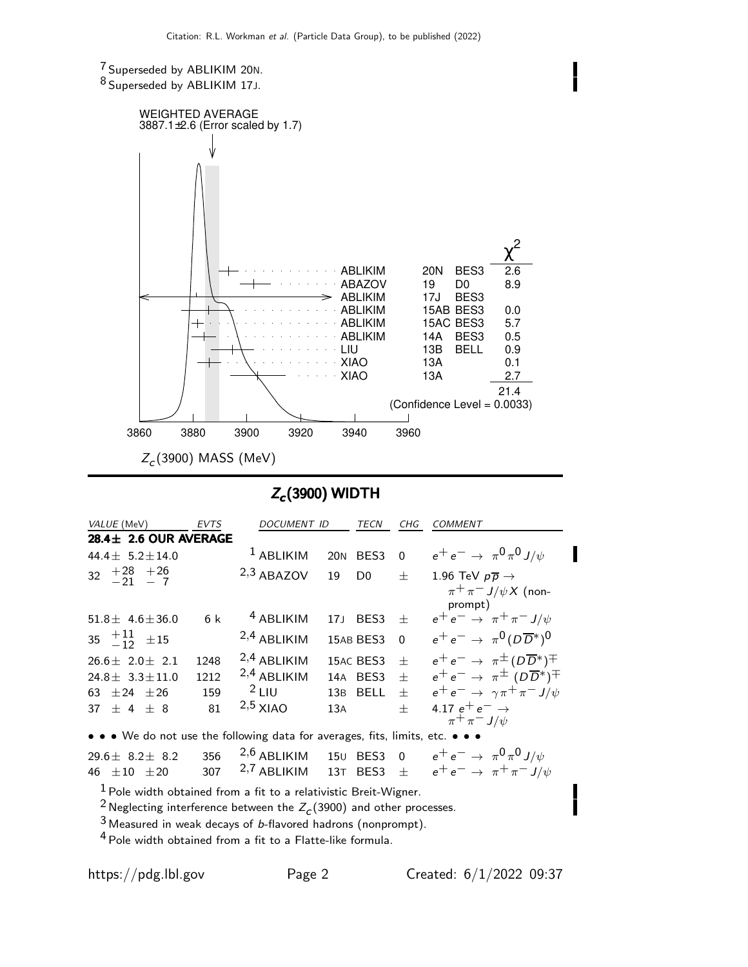7 Superseded by ABLIKIM 20N. 8 Superseded by ABLIKIM 17J.



## $Z_c(3900)$  WIDTH

| VALUE (MeV)                                                                   | <b>EVTS</b> | <b>DOCUMENT ID</b>   |                 | <b>TECN</b>    | CHG                     | <b>COMMENT</b>                                           |  |  |
|-------------------------------------------------------------------------------|-------------|----------------------|-----------------|----------------|-------------------------|----------------------------------------------------------|--|--|
| $28.4 \pm 2.6$ OUR AVERAGE                                                    |             |                      |                 |                |                         |                                                          |  |  |
| 44.4 $\pm$ 5.2 $\pm$ 14.0                                                     |             | $1$ ABLIKIM          | 20 <sub>N</sub> | BES3           | $\Omega$                | $e^+e^- \to \pi^0 \pi^0 J/\psi$                          |  |  |
| $32 +28 +26$<br>-21 - 7                                                       |             | $2,3$ ABAZOV         | 19              | D <sub>0</sub> | $^{+}$                  | 1.96 TeV $p\overline{p} \rightarrow$                     |  |  |
|                                                                               |             |                      |                 |                |                         | $\pi^+ \pi^- J/\psi X$ (non-<br>prompt)                  |  |  |
| $51.8 \pm 4.6 \pm 36.0$                                                       | 6 k         | <sup>4</sup> ABLIKIM | 17 <sub>J</sub> | BES3 $\pm$     |                         | $e^+e^- \rightarrow \pi^+\pi^- J/\psi$                   |  |  |
| 35 $+11$ $\pm 15$                                                             |             | $2,4$ ABLIKIM        |                 | 15AB BES3      | $\overline{\mathbf{0}}$ | $e^+e^- \rightarrow \pi^0 (D\overline{D}{}^*)^0$         |  |  |
| $26.6 \pm 2.0 \pm 2.1$                                                        | 1248        | $2,4$ ABLIKIM        |                 | 15AC BES3      | $\pm$                   | $e^+e^- \rightarrow \pi^{\pm} (D\overline{D}{}^*)^{\mp}$ |  |  |
| $24.8 \pm 3.3 \pm 11.0$                                                       | 1212        | $2,4$ ABLIKIM        |                 | 14A BES3       | $+$                     | $e^+e^- \rightarrow \pi^{\pm}$ $(D\overline{D}^*)^{\mp}$ |  |  |
| 63 $\pm 24$ $\pm 26$                                                          | 159         | $2$ LIU              |                 | 13B BELL       | $+$                     | $e^+e^- \rightarrow \gamma \pi^+ \pi^- J/\psi$           |  |  |
| 37 $\pm$ 4 $\pm$ 8                                                            | 81          | $2,5$ XIAO           | 13A             |                | $+$                     | 4.17 $e^+e^- \rightarrow$<br>$\pi^+ \pi^- J/\psi$        |  |  |
| • • • We do not use the following data for averages, fits, limits, etc. • • • |             |                      |                 |                |                         |                                                          |  |  |
| 29.6 $\pm$ 8.2 $\pm$ 8.2                                                      | 356         | $2,6$ ABLIKIM        | 150             | BES3           | $\Omega$                | $e^+e^- \to \pi^0 \pi^0 J/\psi$                          |  |  |
| 46 $\pm 10$ $\pm 20$                                                          | 307         | $2,7$ ABLIKIM        | 13 <sub>T</sub> | BES3           | 士                       | $e^+e^- \rightarrow \pi^+\pi^- J/\psi$                   |  |  |

 $1$  Pole width obtained from a fit to a relativistic Breit-Wigner.

<sup>2</sup> Neglecting interference between the  $Z_c(3900)$  and other processes.

3 Measured in weak decays of b-flavored hadrons (nonprompt).

4 Pole width obtained from a fit to a Flatte-like formula.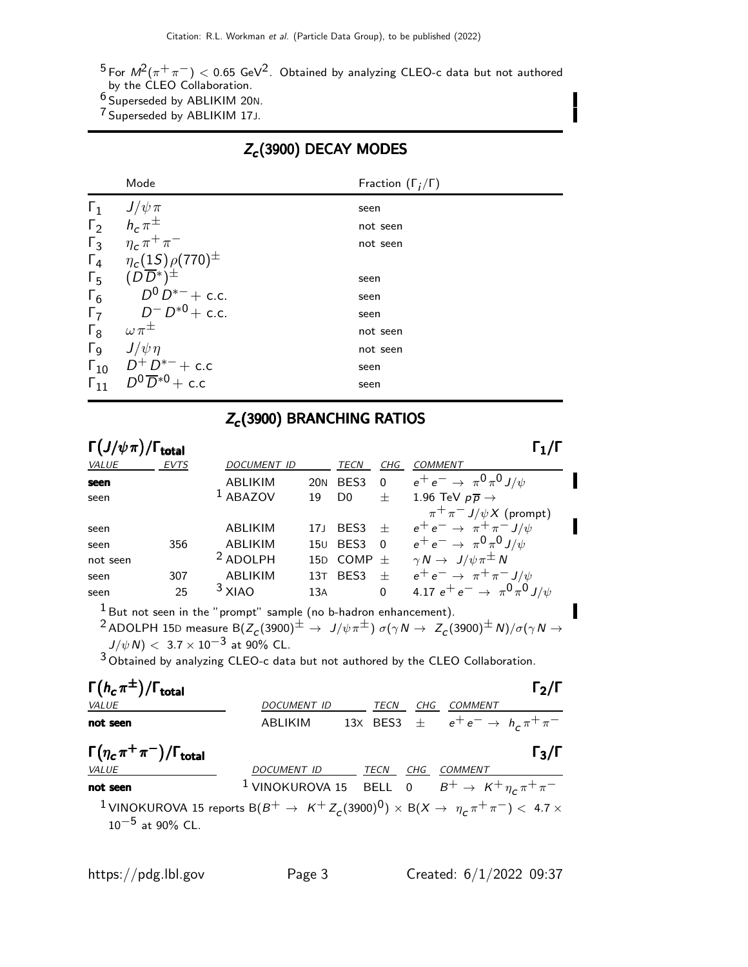$^5$ For  $\mathit{M}^2(\pi^+\pi^-) < 0.65$  GeV $^2$ . Obtained by analyzing CLEO-c data but not authored by the CLEO Collaboration.

6 Superseded by ABLIKIM 20N.

7 Superseded by ABLIKIM 17J.

## $Z_c(3900)$  DECAY MODES

|                  | Mode                                   | Fraction $(\Gamma_i/\Gamma)$ |
|------------------|----------------------------------------|------------------------------|
| $\mathsf{r}_1$   | $J/\psi \pi \over h_c \, \pi^{\pm}$    | seen                         |
| $\Gamma_2$       |                                        | not seen                     |
| $\Gamma_3$       | $\eta_c \, \pi^+ \, \pi^-$             | not seen                     |
|                  | $\Gamma_4$ $\eta_c(15)\rho(770)^{\pm}$ |                              |
| $\Gamma_5$       | $(D\overline{D}^*)^{\pm}$              | seen                         |
| $\Gamma_6$       | $D^0\,D^{*-}+$ c.c.                    | seen                         |
| $\overline{r_7}$ | $D^{-} D^{*0} +$ c.c.                  | seen                         |
| $\Gamma_8$       | $\omega \pi^{\pm}$                     | not seen                     |
| $\Gamma_9$       | $J/\psi \eta$                          | not seen                     |
|                  | $\Gamma_{10}$ $D^+D^{*-}$ + c.c        | seen                         |
| $\Gamma_{11}$    | $D^0\overline{D}^{*0}$ + c.c.          | seen                         |

## Z<sub>c</sub>(3900) BRANCHING RATIOS

| $\Gamma(J/\psi\pi)/\Gamma_{\rm total}$ |             |                     |                 |                  |                         |                                              |  |
|----------------------------------------|-------------|---------------------|-----------------|------------------|-------------------------|----------------------------------------------|--|
| <b>VALUE</b>                           | <b>EVTS</b> | <b>DOCUMENT ID</b>  |                 | TECN             | CHG                     | <b>COMMENT</b>                               |  |
| seen                                   |             | <b>ABLIKIM</b>      | <b>20N</b>      | BES <sub>3</sub> | - 0                     | $e^+e^- \to \pi^0 \pi^0 J/\psi$              |  |
| seen                                   |             | $1$ ABAZOV          | 19              | D <sub>0</sub>   | $+$                     | 1.96 TeV $p\overline{p} \rightarrow$         |  |
|                                        |             |                     |                 |                  |                         | $\pi^+ \pi^- J/\psi X$ (prompt)              |  |
| seen                                   |             | ABLIKIM             | 17 <sub>1</sub> | BES <sub>3</sub> | $^{+}$                  | $e^+e^- \rightarrow \pi^+\pi^- J/\psi$       |  |
| seen                                   | 356         | <b>ABLIKIM</b>      | 15U             | BES3             | $\overline{\mathbf{0}}$ | $e^+e^- \to \pi^0 \pi^0 J/\psi$              |  |
| not seen                               |             | <sup>2</sup> ADOLPH | 15D             | COMP $\pm$       |                         | $\gamma N \to J/\psi \pi^{\pm} N$            |  |
| seen                                   | 307         | <b>ABLIKIM</b>      | 13 <sub>T</sub> | BES <sub>3</sub> | $^{+}$                  | $e^+e^- \rightarrow \pi^+\pi^- J/\psi$       |  |
| seen                                   | 25          | $3$ XIAO            | 13A             |                  | $\Omega$                | 4.17 $e^+e^- \rightarrow \pi^0 \pi^0 J/\psi$ |  |
|                                        |             |                     |                 |                  |                         |                                              |  |

 $^1$  But not seen in the "prompt" sample (no b-hadron enhancement).  $^2$ ADOLPH 15D measure B $(Z_c(3900)^\pm \to \ J/\psi \pi^\pm) \ \sigma (\gamma N \to \ Z_c(3900)^\pm \, N)/\sigma (\gamma N \to \pi^+ N)$  $J/\psi N$ ) < 3.7 × 10<sup>-3</sup> at 90% CL.

3 Obtained by analyzing CLEO-c data but not authored by the CLEO Collaboration.

| $\Gamma(h_c \pi^{\pm})/\Gamma_{\text{total}}$                                                                                                       |                                                                            |      |     |                                                     | $\Gamma_2/\Gamma$ |
|-----------------------------------------------------------------------------------------------------------------------------------------------------|----------------------------------------------------------------------------|------|-----|-----------------------------------------------------|-------------------|
| VALUE                                                                                                                                               | <b>DOCUMENT ID</b>                                                         | TECN | CHG | COMMENT                                             |                   |
| not seen                                                                                                                                            | ABLIKIM                                                                    |      |     | 13X BES3 $\pm$ $e^+e^- \rightarrow h_c \pi^+ \pi^-$ |                   |
| $\Gamma(\eta_c \pi^+\pi^-)/\Gamma_{\rm total}$                                                                                                      |                                                                            |      |     |                                                     | $\Gamma_3/\Gamma$ |
| VALUE                                                                                                                                               | DOCUMENT ID TECN                                                           |      | CHG | COMMENT                                             |                   |
| not seen                                                                                                                                            | <sup>1</sup> VINOKUROVA 15 BELL 0 $B^+ \rightarrow K^+ \eta_c \pi^+ \pi^-$ |      |     |                                                     |                   |
| <sup>1</sup> VINOKUROVA 15 reports B $(B^+ \rightarrow K^+ Z_c(3900)^0) \times B(X \rightarrow \eta_c \pi^+ \pi^-)$ < 4.7 x<br>$10^{-5}$ at 90% CL. |                                                                            |      |     |                                                     |                   |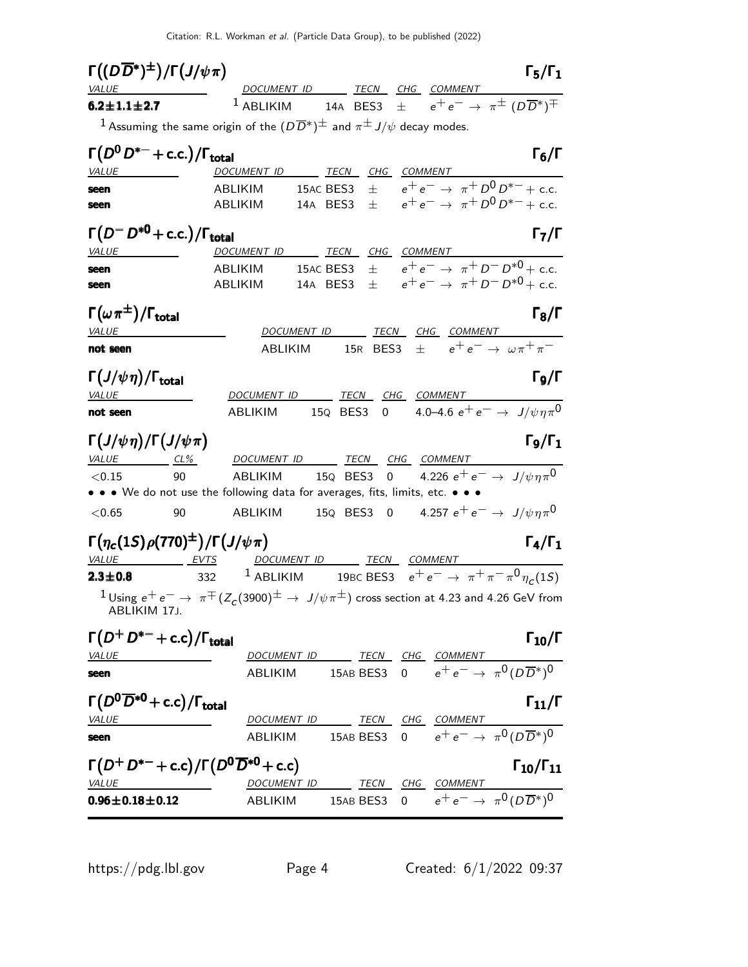Citation: R.L. Workman et al. (Particle Data Group), to be published (2022)

| $\Gamma((D\overline{D}^*)^{\pm})/\Gamma(J/\psi\pi)$<br><b>VALUE</b>   | $\Gamma_5/\Gamma_1$<br>DOCUMENT ID TECN CHG COMMENT                                                                             |
|-----------------------------------------------------------------------|---------------------------------------------------------------------------------------------------------------------------------|
| $6.2 \pm 1.1 \pm 2.7$                                                 | 14A BES3 $\pm$ $e^+e^- \rightarrow \pi^{\pm}$ $(D\overline{D}^*)^{\mp}$<br>$1$ ABLIKIM                                          |
|                                                                       | <sup>1</sup> Assuming the same origin of the $(D\overline{D}^*)^{\pm}$ and $\pi^{\pm}$ J/ $\psi$ decay modes.                   |
| $\Gamma\big(D^0\,D^{*-}+{\rm c.c.}\big)/\Gamma_{\rm total}$           | $\Gamma_6/\Gamma$                                                                                                               |
| <i>VALUE</i><br>$\overline{\phantom{a}}$<br>seen                      | DOCUMENT ID TECN CHG COMMENT<br>15AC BES3 $\pm$ $e^+e^- \rightarrow \pi^+ D^0 D^{*-} + c.c.$<br>ABLIKIM                         |
| seen                                                                  | 14A BES3 $\pm$ $e^+e^- \rightarrow \pi^+ D^0 D^{*-} + c.c.$<br>ABLIKIM                                                          |
| $\Gamma(D^-D^{*0}+c.c.)/\Gamma_{\text{total}}$                        | $\Gamma_7/\Gamma$                                                                                                               |
| <b>VALUE</b>                                                          | DOCUMENT ID TECN CHG COMMENT                                                                                                    |
| seen                                                                  | $\pm e^+e^- \rightarrow \pi^+D^-D^{*0}+c.c.$<br>15AC BES3<br>ABLIKIM<br>14A BES3 $\pm$ $e^+e^- \rightarrow \pi^+D^-D^{*0}+c.c.$ |
| seen                                                                  | ABLIKIM                                                                                                                         |
| $\Gamma(\omega\pi^\pm)/\Gamma_{\rm total}$                            | $\Gamma_8/\Gamma$                                                                                                               |
| <b>VALUE</b>                                                          | DOCUMENT ID TECN CHG COMMENT                                                                                                    |
| not seen                                                              | 15R BES3 $\pm$ $e^+e^- \rightarrow \omega \pi^+ \pi^-$<br>ABLIKIM                                                               |
| $\Gamma(J/\psi\eta)/\Gamma_{\rm total}$<br>VALUE                      | Го/Г<br>DOCUMENT ID TECN CHG COMMENT                                                                                            |
| not seen                                                              | 15Q BES3 0 4.0–4.6 $e^+e^- \rightarrow J/\psi \eta \pi^0$<br>ABLIKIM                                                            |
| $\Gamma(J/\psi\eta)/\Gamma(J/\psi\pi)$                                | $\Gamma_9/\Gamma_1$                                                                                                             |
|                                                                       | <u>VALUE CL% DOCUMENT ID TECN CHG COMMENT</u><br>ABLIKIM $15Q$ BES3 0 $4.226 e^+e^- \rightarrow J/\psi \eta \pi^0$              |
| 90<br>< 0.15                                                          | • • • We do not use the following data for averages, fits, limits, etc. • • •                                                   |
| < 0.65<br>90                                                          | ABLIKIM $15$ Q BES3 0 $4.257$ $e^+$ $e^ \rightarrow$ $\;$ $J/\psi \eta \pi^0$                                                   |
| $\Gamma(\eta_c(1S)\rho(770)^{\pm})/\Gamma(J/\psi\pi)$<br>VALUE EVTS   | $\Gamma_4/\Gamma_1$<br>DOCUMENT ID TECN COMMENT                                                                                 |
| $2.3 \pm 0.8$                                                         | 332 <sup>1</sup> ABLIKIM 19BC BES3 $e^+e^- \to \pi^+\pi^-\pi^0\eta_c(15)$                                                       |
| ABLIKIM 17J.                                                          | $1$ Using $e^+e^-\to \pi^\mp (Z_c(3900)^\pm\to J/\psi\pi^\pm)$ cross section at 4.23 and 4.26 GeV from                          |
| $\Gamma(D^+D^{*-}+c.c)/\Gamma_{\text{total}}$                         | $\Gamma_{10}/\Gamma$                                                                                                            |
| <b>VALUE</b>                                                          | DOCUMENT ID TECN CHG COMMENT<br>ABLIKIM 15AB BES3 0 $e^+e^- \rightarrow \pi^0(D\overline{D}^*)^0$                               |
| seen                                                                  |                                                                                                                                 |
| $\Gamma(D^0\overline{D}^{*0}+c.c)/\Gamma_{\rm total}$<br><u>VALUE</u> | $\Gamma_{11}/\Gamma$<br>DOCUMENT ID TECN CHG COMMENT                                                                            |
| seen                                                                  | ABLIKIM 15AB BES3 0 $e^+e^- \rightarrow \pi^0 (D\overline{D}^*)^0$                                                              |
| $\Gamma(D^+D^{*-}+c.c)/\Gamma(D^0\overline{D}^{*0}+c.c)$              | $\Gamma_{10}/\Gamma_{11}$                                                                                                       |
| <b>VALUE</b>                                                          | DOCUMENT ID TECN CHG COMMENT                                                                                                    |
| $0.96 \pm 0.18 \pm 0.12$                                              | ABLIKIM 15AB BES3 0 $e^+e^- \rightarrow \pi^0 (D\overline{D}{}^*)^0$                                                            |